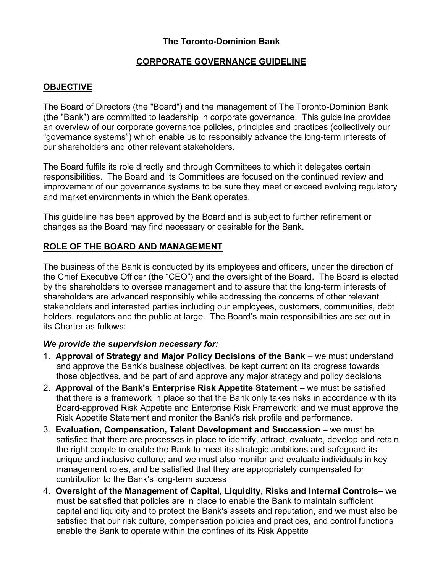# **The Toronto-Dominion Bank**

### **CORPORATE GOVERNANCE GUIDELINE**

### **OBJECTIVE**

The Board of Directors (the "Board") and the management of The Toronto-Dominion Bank (the "Bank") are committed to leadership in corporate governance. This guideline provides an overview of our corporate governance policies, principles and practices (collectively our "governance systems") which enable us to responsibly advance the long-term interests of our shareholders and other relevant stakeholders.

The Board fulfils its role directly and through Committees to which it delegates certain responsibilities. The Board and its Committees are focused on the continued review and improvement of our governance systems to be sure they meet or exceed evolving regulatory and market environments in which the Bank operates.

This guideline has been approved by the Board and is subject to further refinement or changes as the Board may find necessary or desirable for the Bank.

### **ROLE OF THE BOARD AND MANAGEMENT**

The business of the Bank is conducted by its employees and officers, under the direction of the Chief Executive Officer (the "CEO") and the oversight of the Board. The Board is elected by the shareholders to oversee management and to assure that the long-term interests of shareholders are advanced responsibly while addressing the concerns of other relevant stakeholders and interested parties including our employees, customers, communities, debt holders, regulators and the public at large. The Board's main responsibilities are set out in its Charter as follows:

#### *We provide the supervision necessary for:*

- 1. **Approval of Strategy and Major Policy Decisions of the Bank**  we must understand and approve the Bank's business objectives, be kept current on its progress towards those objectives, and be part of and approve any major strategy and policy decisions
- 2. **Approval of the Bank's Enterprise Risk Appetite Statement** we must be satisfied that there is a framework in place so that the Bank only takes risks in accordance with its Board-approved Risk Appetite and Enterprise Risk Framework; and we must approve the Risk Appetite Statement and monitor the Bank's risk profile and performance.
- 3. **Evaluation, Compensation, Talent Development and Succession –** we must be satisfied that there are processes in place to identify, attract, evaluate, develop and retain the right people to enable the Bank to meet its strategic ambitions and safeguard its unique and inclusive culture; and we must also monitor and evaluate individuals in key management roles, and be satisfied that they are appropriately compensated for contribution to the Bank's long-term success
- 4. **Oversight of the Management of Capital, Liquidity, Risks and Internal Controls–** we must be satisfied that policies are in place to enable the Bank to maintain sufficient capital and liquidity and to protect the Bank's assets and reputation, and we must also be satisfied that our risk culture, compensation policies and practices, and control functions enable the Bank to operate within the confines of its Risk Appetite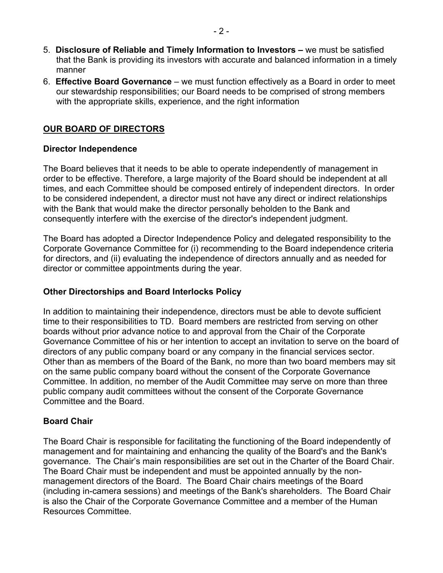- 5. **Disclosure of Reliable and Timely Information to Investors –** we must be satisfied that the Bank is providing its investors with accurate and balanced information in a timely manner
- 6. **Effective Board Governance**  we must function effectively as a Board in order to meet our stewardship responsibilities; our Board needs to be comprised of strong members with the appropriate skills, experience, and the right information

# **OUR BOARD OF DIRECTORS**

#### **Director Independence**

The Board believes that it needs to be able to operate independently of management in order to be effective. Therefore, a large majority of the Board should be independent at all times, and each Committee should be composed entirely of independent directors. In order to be considered independent, a director must not have any direct or indirect relationships with the Bank that would make the director personally beholden to the Bank and consequently interfere with the exercise of the director's independent judgment.

The Board has adopted a Director Independence Policy and delegated responsibility to the Corporate Governance Committee for (i) recommending to the Board independence criteria for directors, and (ii) evaluating the independence of directors annually and as needed for director or committee appointments during the year.

## **Other Directorships and Board Interlocks Policy**

In addition to maintaining their independence, directors must be able to devote sufficient time to their responsibilities to TD. Board members are restricted from serving on other boards without prior advance notice to and approval from the Chair of the Corporate Governance Committee of his or her intention to accept an invitation to serve on the board of directors of any public company board or any company in the financial services sector. Other than as members of the Board of the Bank, no more than two board members may sit on the same public company board without the consent of the Corporate Governance Committee. In addition, no member of the Audit Committee may serve on more than three public company audit committees without the consent of the Corporate Governance Committee and the Board.

# **Board Chair**

The Board Chair is responsible for facilitating the functioning of the Board independently of management and for maintaining and enhancing the quality of the Board's and the Bank's governance. The Chair's main responsibilities are set out in the Charter of the Board Chair. The Board Chair must be independent and must be appointed annually by the nonmanagement directors of the Board. The Board Chair chairs meetings of the Board (including in-camera sessions) and meetings of the Bank's shareholders. The Board Chair is also the Chair of the Corporate Governance Committee and a member of the Human Resources Committee.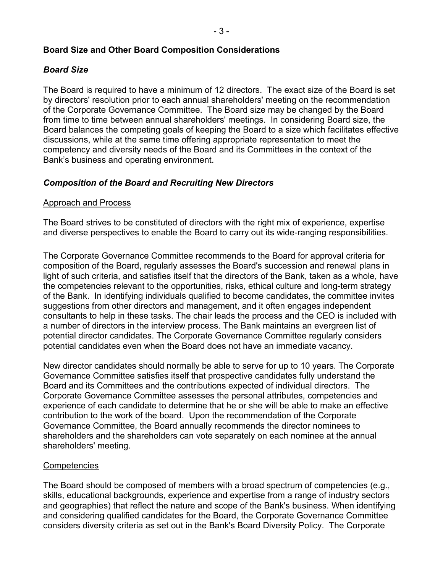### **Board Size and Other Board Composition Considerations**

## *Board Size*

The Board is required to have a minimum of 12 directors. The exact size of the Board is set by directors' resolution prior to each annual shareholders' meeting on the recommendation of the Corporate Governance Committee. The Board size may be changed by the Board from time to time between annual shareholders' meetings. In considering Board size, the Board balances the competing goals of keeping the Board to a size which facilitates effective discussions, while at the same time offering appropriate representation to meet the competency and diversity needs of the Board and its Committees in the context of the Bank's business and operating environment.

### *Composition of the Board and Recruiting New Directors*

#### Approach and Process

The Board strives to be constituted of directors with the right mix of experience, expertise and diverse perspectives to enable the Board to carry out its wide-ranging responsibilities.

The Corporate Governance Committee recommends to the Board for approval criteria for composition of the Board, regularly assesses the Board's succession and renewal plans in light of such criteria, and satisfies itself that the directors of the Bank, taken as a whole, have the competencies relevant to the opportunities, risks, ethical culture and long-term strategy of the Bank. In identifying individuals qualified to become candidates, the committee invites suggestions from other directors and management, and it often engages independent consultants to help in these tasks. The chair leads the process and the CEO is included with a number of directors in the interview process. The Bank maintains an evergreen list of potential director candidates. The Corporate Governance Committee regularly considers potential candidates even when the Board does not have an immediate vacancy.

New director candidates should normally be able to serve for up to 10 years. The Corporate Governance Committee satisfies itself that prospective candidates fully understand the Board and its Committees and the contributions expected of individual directors. The Corporate Governance Committee assesses the personal attributes, competencies and experience of each candidate to determine that he or she will be able to make an effective contribution to the work of the board. Upon the recommendation of the Corporate Governance Committee, the Board annually recommends the director nominees to shareholders and the shareholders can vote separately on each nominee at the annual shareholders' meeting.

#### **Competencies**

The Board should be composed of members with a broad spectrum of competencies (e.g., skills, educational backgrounds, experience and expertise from a range of industry sectors and geographies) that reflect the nature and scope of the Bank's business. When identifying and considering qualified candidates for the Board, the Corporate Governance Committee considers diversity criteria as set out in the Bank's Board Diversity Policy. The Corporate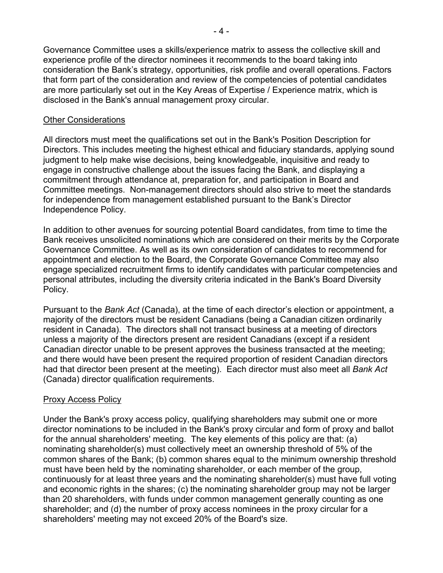Governance Committee uses a skills/experience matrix to assess the collective skill and experience profile of the director nominees it recommends to the board taking into consideration the Bank's strategy, opportunities, risk profile and overall operations. Factors that form part of the consideration and review of the competencies of potential candidates are more particularly set out in the Key Areas of Expertise / Experience matrix, which is disclosed in the Bank's annual management proxy circular.

### Other Considerations

All directors must meet the qualifications set out in the Bank's Position Description for Directors. This includes meeting the highest ethical and fiduciary standards, applying sound judgment to help make wise decisions, being knowledgeable, inquisitive and ready to engage in constructive challenge about the issues facing the Bank, and displaying a commitment through attendance at, preparation for, and participation in Board and Committee meetings. Non-management directors should also strive to meet the standards for independence from management established pursuant to the Bank's Director Independence Policy.

In addition to other avenues for sourcing potential Board candidates, from time to time the Bank receives unsolicited nominations which are considered on their merits by the Corporate Governance Committee. As well as its own consideration of candidates to recommend for appointment and election to the Board, the Corporate Governance Committee may also engage specialized recruitment firms to identify candidates with particular competencies and personal attributes, including the diversity criteria indicated in the Bank's Board Diversity Policy.

Pursuant to the *Bank Act* (Canada), at the time of each director's election or appointment, a majority of the directors must be resident Canadians (being a Canadian citizen ordinarily resident in Canada). The directors shall not transact business at a meeting of directors unless a majority of the directors present are resident Canadians (except if a resident Canadian director unable to be present approves the business transacted at the meeting; and there would have been present the required proportion of resident Canadian directors had that director been present at the meeting). Each director must also meet all *Bank Act*  (Canada) director qualification requirements.

### **Proxy Access Policy**

Under the Bank's proxy access policy, qualifying shareholders may submit one or more director nominations to be included in the Bank's proxy circular and form of proxy and ballot for the annual shareholders' meeting. The key elements of this policy are that: (a) nominating shareholder(s) must collectively meet an ownership threshold of 5% of the common shares of the Bank; (b) common shares equal to the minimum ownership threshold must have been held by the nominating shareholder, or each member of the group, continuously for at least three years and the nominating shareholder(s) must have full voting and economic rights in the shares; (c) the nominating shareholder group may not be larger than 20 shareholders, with funds under common management generally counting as one shareholder; and (d) the number of proxy access nominees in the proxy circular for a shareholders' meeting may not exceed 20% of the Board's size.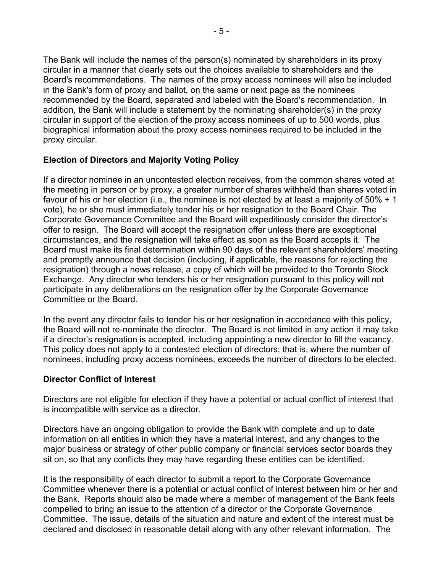The Bank will include the names of the person(s) nominated by shareholders in its proxy circular in a manner that clearly sets out the choices available to shareholders and the Board's recommendations. The names of the proxy access nominees will also be included in the Bank's form of proxy and ballot, on the same or next page as the nominees recommended by the Board, separated and labeled with the Board's recommendation. In addition, the Bank will include a statement by the nominating shareholder(s) in the proxy circular in support of the election of the proxy access nominees of up to 500 words, plus biographical information about the proxy access nominees required to be included in the proxy circular.

# **Election of Directors and Majority Voting Policy**

If a director nominee in an uncontested election receives, from the common shares voted at the meeting in person or by proxy, a greater number of shares withheld than shares voted in favour of his or her election (i.e., the nominee is not elected by at least a majority of 50% + 1 vote), he or she must immediately tender his or her resignation to the Board Chair. The Corporate Governance Committee and the Board will expeditiously consider the director's offer to resign. The Board will accept the resignation offer unless there are exceptional circumstances, and the resignation will take effect as soon as the Board accepts it. The Board must make its final determination within 90 days of the relevant shareholders' meeting and promptly announce that decision (including, if applicable, the reasons for rejecting the resignation) through a news release, a copy of which will be provided to the Toronto Stock Exchange. Any director who tenders his or her resignation pursuant to this policy will not participate in any deliberations on the resignation offer by the Corporate Governance Committee or the Board.

In the event any director fails to tender his or her resignation in accordance with this policy, the Board will not re-nominate the director. The Board is not limited in any action it may take if a director's resignation is accepted, including appointing a new director to fill the vacancy. This policy does not apply to a contested election of directors; that is, where the number of nominees, including proxy access nominees, exceeds the number of directors to be elected.

#### **Director Conflict of Interest**

Directors are not eligible for election if they have a potential or actual conflict of interest that is incompatible with service as a director.

Directors have an ongoing obligation to provide the Bank with complete and up to date information on all entities in which they have a material interest, and any changes to the major business or strategy of other public company or financial services sector boards they sit on, so that any conflicts they may have regarding these entities can be identified.

It is the responsibility of each director to submit a report to the Corporate Governance Committee whenever there is a potential or actual conflict of interest between him or her and the Bank. Reports should also be made where a member of management of the Bank feels compelled to bring an issue to the attention of a director or the Corporate Governance Committee. The issue, details of the situation and nature and extent of the interest must be declared and disclosed in reasonable detail along with any other relevant information. The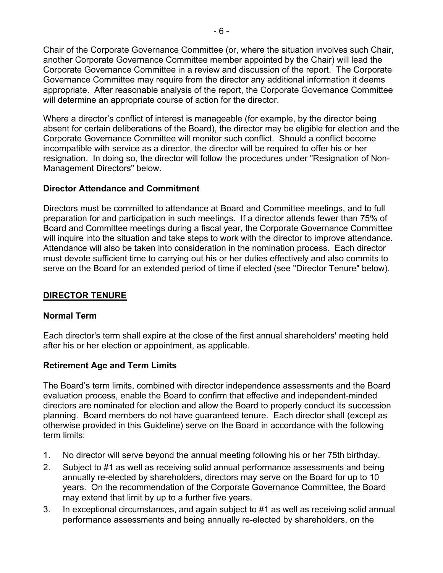Chair of the Corporate Governance Committee (or, where the situation involves such Chair, another Corporate Governance Committee member appointed by the Chair) will lead the Corporate Governance Committee in a review and discussion of the report. The Corporate Governance Committee may require from the director any additional information it deems appropriate. After reasonable analysis of the report, the Corporate Governance Committee will determine an appropriate course of action for the director.

Where a director's conflict of interest is manageable (for example, by the director being absent for certain deliberations of the Board), the director may be eligible for election and the Corporate Governance Committee will monitor such conflict. Should a conflict become incompatible with service as a director, the director will be required to offer his or her resignation. In doing so, the director will follow the procedures under "Resignation of Non-Management Directors" below.

### **Director Attendance and Commitment**

Directors must be committed to attendance at Board and Committee meetings, and to full preparation for and participation in such meetings. If a director attends fewer than 75% of Board and Committee meetings during a fiscal year, the Corporate Governance Committee will inquire into the situation and take steps to work with the director to improve attendance. Attendance will also be taken into consideration in the nomination process. Each director must devote sufficient time to carrying out his or her duties effectively and also commits to serve on the Board for an extended period of time if elected (see "Director Tenure" below).

# **DIRECTOR TENURE**

#### **Normal Term**

Each director's term shall expire at the close of the first annual shareholders' meeting held after his or her election or appointment, as applicable.

# **Retirement Age and Term Limits**

The Board's term limits, combined with director independence assessments and the Board evaluation process, enable the Board to confirm that effective and independent-minded directors are nominated for election and allow the Board to properly conduct its succession planning. Board members do not have guaranteed tenure. Each director shall (except as otherwise provided in this Guideline) serve on the Board in accordance with the following term limits:

- 1. No director will serve beyond the annual meeting following his or her 75th birthday.
- 2. Subject to #1 as well as receiving solid annual performance assessments and being annually re-elected by shareholders, directors may serve on the Board for up to 10 years. On the recommendation of the Corporate Governance Committee, the Board may extend that limit by up to a further five years.
- 3. In exceptional circumstances, and again subject to #1 as well as receiving solid annual performance assessments and being annually re-elected by shareholders, on the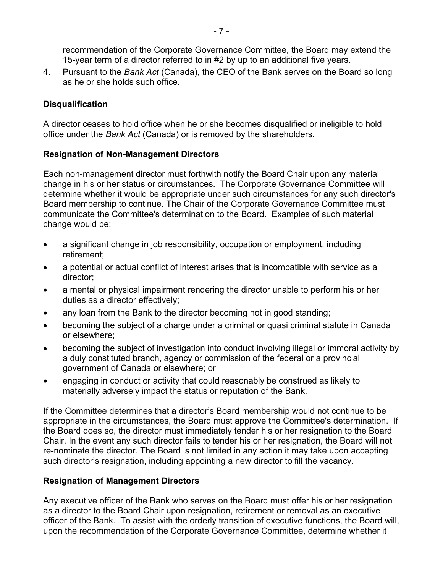recommendation of the Corporate Governance Committee, the Board may extend the 15-year term of a director referred to in #2 by up to an additional five years.

4. Pursuant to the *Bank Act* (Canada), the CEO of the Bank serves on the Board so long as he or she holds such office.

# **Disqualification**

A director ceases to hold office when he or she becomes disqualified or ineligible to hold office under the *Bank Act* (Canada) or is removed by the shareholders.

# **Resignation of Non-Management Directors**

Each non-management director must forthwith notify the Board Chair upon any material change in his or her status or circumstances. The Corporate Governance Committee will determine whether it would be appropriate under such circumstances for any such director's Board membership to continue. The Chair of the Corporate Governance Committee must communicate the Committee's determination to the Board. Examples of such material change would be:

- a significant change in job responsibility, occupation or employment, including retirement;
- a potential or actual conflict of interest arises that is incompatible with service as a director;
- a mental or physical impairment rendering the director unable to perform his or her duties as a director effectively;
- any loan from the Bank to the director becoming not in good standing;
- becoming the subject of a charge under a criminal or quasi criminal statute in Canada or elsewhere;
- becoming the subject of investigation into conduct involving illegal or immoral activity by a duly constituted branch, agency or commission of the federal or a provincial government of Canada or elsewhere; or
- engaging in conduct or activity that could reasonably be construed as likely to materially adversely impact the status or reputation of the Bank.

If the Committee determines that a director's Board membership would not continue to be appropriate in the circumstances, the Board must approve the Committee's determination. If the Board does so, the director must immediately tender his or her resignation to the Board Chair. In the event any such director fails to tender his or her resignation, the Board will not re-nominate the director. The Board is not limited in any action it may take upon accepting such director's resignation, including appointing a new director to fill the vacancy.

# **Resignation of Management Directors**

Any executive officer of the Bank who serves on the Board must offer his or her resignation as a director to the Board Chair upon resignation, retirement or removal as an executive officer of the Bank. To assist with the orderly transition of executive functions, the Board will, upon the recommendation of the Corporate Governance Committee, determine whether it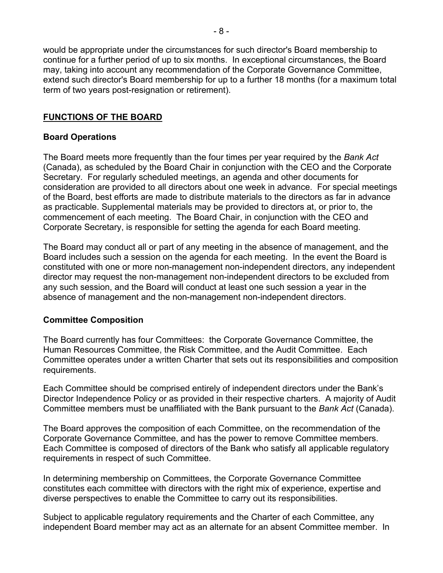would be appropriate under the circumstances for such director's Board membership to continue for a further period of up to six months. In exceptional circumstances, the Board may, taking into account any recommendation of the Corporate Governance Committee, extend such director's Board membership for up to a further 18 months (for a maximum total term of two years post-resignation or retirement).

### **FUNCTIONS OF THE BOARD**

#### **Board Operations**

The Board meets more frequently than the four times per year required by the *Bank Act* (Canada), as scheduled by the Board Chair in conjunction with the CEO and the Corporate Secretary. For regularly scheduled meetings, an agenda and other documents for consideration are provided to all directors about one week in advance. For special meetings of the Board, best efforts are made to distribute materials to the directors as far in advance as practicable. Supplemental materials may be provided to directors at, or prior to, the commencement of each meeting. The Board Chair, in conjunction with the CEO and Corporate Secretary, is responsible for setting the agenda for each Board meeting.

The Board may conduct all or part of any meeting in the absence of management, and the Board includes such a session on the agenda for each meeting. In the event the Board is constituted with one or more non-management non-independent directors, any independent director may request the non-management non-independent directors to be excluded from any such session, and the Board will conduct at least one such session a year in the absence of management and the non-management non-independent directors.

#### **Committee Composition**

The Board currently has four Committees: the Corporate Governance Committee, the Human Resources Committee, the Risk Committee, and the Audit Committee. Each Committee operates under a written Charter that sets out its responsibilities and composition requirements.

Each Committee should be comprised entirely of independent directors under the Bank's Director Independence Policy or as provided in their respective charters. A majority of Audit Committee members must be unaffiliated with the Bank pursuant to the *Bank Act* (Canada).

The Board approves the composition of each Committee, on the recommendation of the Corporate Governance Committee, and has the power to remove Committee members. Each Committee is composed of directors of the Bank who satisfy all applicable regulatory requirements in respect of such Committee.

In determining membership on Committees, the Corporate Governance Committee constitutes each committee with directors with the right mix of experience, expertise and diverse perspectives to enable the Committee to carry out its responsibilities.

Subject to applicable regulatory requirements and the Charter of each Committee, any independent Board member may act as an alternate for an absent Committee member. In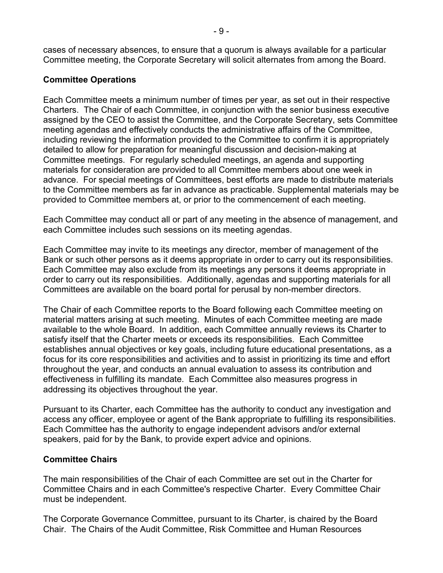cases of necessary absences, to ensure that a quorum is always available for a particular Committee meeting, the Corporate Secretary will solicit alternates from among the Board.

### **Committee Operations**

Each Committee meets a minimum number of times per year, as set out in their respective Charters. The Chair of each Committee, in conjunction with the senior business executive assigned by the CEO to assist the Committee, and the Corporate Secretary, sets Committee meeting agendas and effectively conducts the administrative affairs of the Committee, including reviewing the information provided to the Committee to confirm it is appropriately detailed to allow for preparation for meaningful discussion and decision-making at Committee meetings. For regularly scheduled meetings, an agenda and supporting materials for consideration are provided to all Committee members about one week in advance. For special meetings of Committees, best efforts are made to distribute materials to the Committee members as far in advance as practicable. Supplemental materials may be provided to Committee members at, or prior to the commencement of each meeting.

Each Committee may conduct all or part of any meeting in the absence of management, and each Committee includes such sessions on its meeting agendas.

Each Committee may invite to its meetings any director, member of management of the Bank or such other persons as it deems appropriate in order to carry out its responsibilities. Each Committee may also exclude from its meetings any persons it deems appropriate in order to carry out its responsibilities. Additionally, agendas and supporting materials for all Committees are available on the board portal for perusal by non-member directors.

The Chair of each Committee reports to the Board following each Committee meeting on material matters arising at such meeting. Minutes of each Committee meeting are made available to the whole Board. In addition, each Committee annually reviews its Charter to satisfy itself that the Charter meets or exceeds its responsibilities. Each Committee establishes annual objectives or key goals, including future educational presentations, as a focus for its core responsibilities and activities and to assist in prioritizing its time and effort throughout the year, and conducts an annual evaluation to assess its contribution and effectiveness in fulfilling its mandate. Each Committee also measures progress in addressing its objectives throughout the year.

Pursuant to its Charter, each Committee has the authority to conduct any investigation and access any officer, employee or agent of the Bank appropriate to fulfilling its responsibilities. Each Committee has the authority to engage independent advisors and/or external speakers, paid for by the Bank, to provide expert advice and opinions.

#### **Committee Chairs**

The main responsibilities of the Chair of each Committee are set out in the Charter for Committee Chairs and in each Committee's respective Charter. Every Committee Chair must be independent.

The Corporate Governance Committee, pursuant to its Charter, is chaired by the Board Chair. The Chairs of the Audit Committee, Risk Committee and Human Resources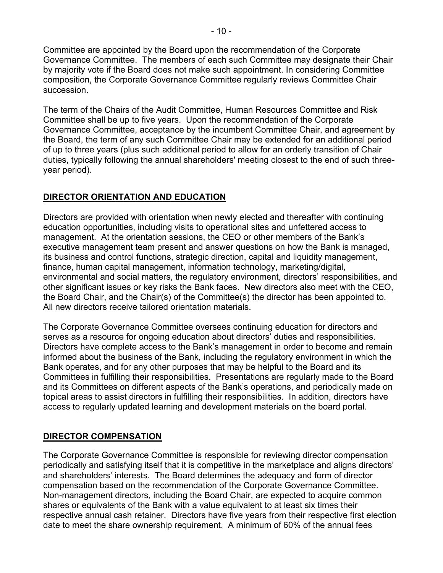Committee are appointed by the Board upon the recommendation of the Corporate Governance Committee. The members of each such Committee may designate their Chair by majority vote if the Board does not make such appointment. In considering Committee composition, the Corporate Governance Committee regularly reviews Committee Chair succession.

The term of the Chairs of the Audit Committee, Human Resources Committee and Risk Committee shall be up to five years. Upon the recommendation of the Corporate Governance Committee, acceptance by the incumbent Committee Chair, and agreement by the Board, the term of any such Committee Chair may be extended for an additional period of up to three years (plus such additional period to allow for an orderly transition of Chair duties, typically following the annual shareholders' meeting closest to the end of such threeyear period).

# **DIRECTOR ORIENTATION AND EDUCATION**

Directors are provided with orientation when newly elected and thereafter with continuing education opportunities, including visits to operational sites and unfettered access to management. At the orientation sessions, the CEO or other members of the Bank's executive management team present and answer questions on how the Bank is managed, its business and control functions, strategic direction, capital and liquidity management, finance, human capital management, information technology, marketing/digital, environmental and social matters, the regulatory environment, directors' responsibilities, and other significant issues or key risks the Bank faces. New directors also meet with the CEO, the Board Chair, and the Chair(s) of the Committee(s) the director has been appointed to. All new directors receive tailored orientation materials.

The Corporate Governance Committee oversees continuing education for directors and serves as a resource for ongoing education about directors' duties and responsibilities. Directors have complete access to the Bank's management in order to become and remain informed about the business of the Bank, including the regulatory environment in which the Bank operates, and for any other purposes that may be helpful to the Board and its Committees in fulfilling their responsibilities. Presentations are regularly made to the Board and its Committees on different aspects of the Bank's operations, and periodically made on topical areas to assist directors in fulfilling their responsibilities. In addition, directors have access to regularly updated learning and development materials on the board portal.

#### **DIRECTOR COMPENSATION**

The Corporate Governance Committee is responsible for reviewing director compensation periodically and satisfying itself that it is competitive in the marketplace and aligns directors' and shareholders' interests. The Board determines the adequacy and form of director compensation based on the recommendation of the Corporate Governance Committee. Non-management directors, including the Board Chair, are expected to acquire common shares or equivalents of the Bank with a value equivalent to at least six times their respective annual cash retainer. Directors have five years from their respective first election date to meet the share ownership requirement. A minimum of 60% of the annual fees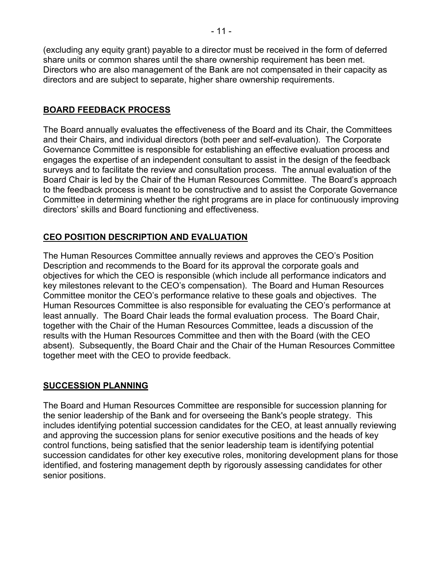(excluding any equity grant) payable to a director must be received in the form of deferred share units or common shares until the share ownership requirement has been met. Directors who are also management of the Bank are not compensated in their capacity as directors and are subject to separate, higher share ownership requirements.

### **BOARD FEEDBACK PROCESS**

The Board annually evaluates the effectiveness of the Board and its Chair, the Committees and their Chairs, and individual directors (both peer and self-evaluation). The Corporate Governance Committee is responsible for establishing an effective evaluation process and engages the expertise of an independent consultant to assist in the design of the feedback surveys and to facilitate the review and consultation process. The annual evaluation of the Board Chair is led by the Chair of the Human Resources Committee. The Board's approach to the feedback process is meant to be constructive and to assist the Corporate Governance Committee in determining whether the right programs are in place for continuously improving directors' skills and Board functioning and effectiveness.

### **CEO POSITION DESCRIPTION AND EVALUATION**

The Human Resources Committee annually reviews and approves the CEO's Position Description and recommends to the Board for its approval the corporate goals and objectives for which the CEO is responsible (which include all performance indicators and key milestones relevant to the CEO's compensation). The Board and Human Resources Committee monitor the CEO's performance relative to these goals and objectives. The Human Resources Committee is also responsible for evaluating the CEO's performance at least annually. The Board Chair leads the formal evaluation process. The Board Chair, together with the Chair of the Human Resources Committee, leads a discussion of the results with the Human Resources Committee and then with the Board (with the CEO absent). Subsequently, the Board Chair and the Chair of the Human Resources Committee together meet with the CEO to provide feedback.

#### **SUCCESSION PLANNING**

The Board and Human Resources Committee are responsible for succession planning for the senior leadership of the Bank and for overseeing the Bank's people strategy. This includes identifying potential succession candidates for the CEO, at least annually reviewing and approving the succession plans for senior executive positions and the heads of key control functions, being satisfied that the senior leadership team is identifying potential succession candidates for other key executive roles, monitoring development plans for those identified, and fostering management depth by rigorously assessing candidates for other senior positions.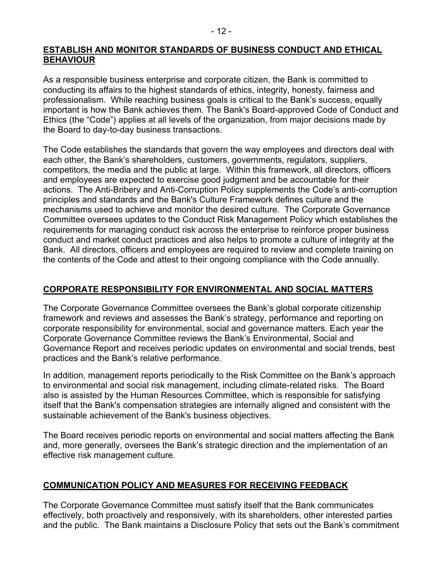#### **ESTABLISH AND MONITOR STANDARDS OF BUSINESS CONDUCT AND ETHICAL BEHAVIOUR**

As a responsible business enterprise and corporate citizen, the Bank is committed to conducting its affairs to the highest standards of ethics, integrity, honesty, fairness and professionalism. While reaching business goals is critical to the Bank's success, equally important is how the Bank achieves them. The Bank's Board-approved Code of Conduct and Ethics (the "Code") applies at all levels of the organization, from major decisions made by the Board to day-to-day business transactions.

The Code establishes the standards that govern the way employees and directors deal with each other, the Bank's shareholders, customers, governments, regulators, suppliers, competitors, the media and the public at large.Within this framework, all directors, officers and employees are expected to exercise good judgment and be accountable for their actions. The Anti-Bribery and Anti-Corruption Policy supplements the Code's anti-corruption principles and standards and the Bank's Culture Framework defines culture and the mechanisms used to achieve and monitor the desired culture. The Corporate Governance Committee oversees updates to the Conduct Risk Management Policy which establishes the requirements for managing conduct risk across the enterprise to reinforce proper business conduct and market conduct practices and also helps to promote a culture of integrity at the Bank. All directors, officers and employees are required to review and complete training on the contents of the Code and attest to their ongoing compliance with the Code annually.

# **CORPORATE RESPONSIBILITY FOR ENVIRONMENTAL AND SOCIAL MATTERS**

The Corporate Governance Committee oversees the Bank's global corporate citizenship framework and reviews and assesses the Bank's strategy, performance and reporting on corporate responsibility for environmental, social and governance matters. Each year the Corporate Governance Committee reviews the Bank's Environmental, Social and Governance Report and receives periodic updates on environmental and social trends, best practices and the Bank's relative performance.

In addition, management reports periodically to the Risk Committee on the Bank's approach to environmental and social risk management, including climate-related risks. The Board also is assisted by the Human Resources Committee, which is responsible for satisfying itself that the Bank's compensation strategies are internally aligned and consistent with the sustainable achievement of the Bank's business objectives.

The Board receives periodic reports on environmental and social matters affecting the Bank and, more generally, oversees the Bank's strategic direction and the implementation of an effective risk management culture.

# **COMMUNICATION POLICY AND MEASURES FOR RECEIVING FEEDBACK**

The Corporate Governance Committee must satisfy itself that the Bank communicates effectively, both proactively and responsively, with its shareholders, other interested parties and the public. The Bank maintains a Disclosure Policy that sets out the Bank's commitment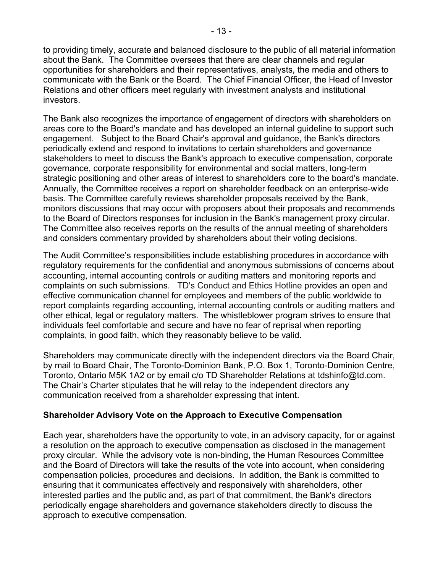to providing timely, accurate and balanced disclosure to the public of all material information about the Bank. The Committee oversees that there are clear channels and regular opportunities for shareholders and their representatives, analysts, the media and others to communicate with the Bank or the Board. The Chief Financial Officer, the Head of Investor Relations and other officers meet regularly with investment analysts and institutional investors.

The Bank also recognizes the importance of engagement of directors with shareholders on areas core to the Board's mandate and has developed an internal guideline to support such engagement. Subject to the Board Chair's approval and guidance, the Bank's directors periodically extend and respond to invitations to certain shareholders and governance stakeholders to meet to discuss the Bank's approach to executive compensation, corporate governance, corporate responsibility for environmental and social matters, long-term strategic positioning and other areas of interest to shareholders core to the board's mandate. Annually, the Committee receives a report on shareholder feedback on an enterprise-wide basis. The Committee carefully reviews shareholder proposals received by the Bank, monitors discussions that may occur with proposers about their proposals and recommends to the Board of Directors responses for inclusion in the Bank's management proxy circular. The Committee also receives reports on the results of the annual meeting of shareholders and considers commentary provided by shareholders about their voting decisions.

The Audit Committee's responsibilities include establishing procedures in accordance with regulatory requirements for the confidential and anonymous submissions of concerns about accounting, internal accounting controls or auditing matters and monitoring reports and complaints on such submissions. TD's Conduct and Ethics Hotline provides an open and effective communication channel for employees and members of the public worldwide to report complaints regarding accounting, internal accounting controls or auditing matters and other ethical, legal or regulatory matters. The whistleblower program strives to ensure that individuals feel comfortable and secure and have no fear of reprisal when reporting complaints, in good faith, which they reasonably believe to be valid.

Shareholders may communicate directly with the independent directors via the Board Chair, by mail to Board Chair, The Toronto-Dominion Bank, P.O. Box 1, Toronto-Dominion Centre, Toronto, Ontario M5K 1A2 or by email c/o TD Shareholder Relations at [tdshinfo@td.com.](mailto:tdshinfo@td.com) The Chair's Charter stipulates that he will relay to the independent directors any communication received from a shareholder expressing that intent.

#### **Shareholder Advisory Vote on the Approach to Executive Compensation**

Each year, shareholders have the opportunity to vote, in an advisory capacity, for or against a resolution on the approach to executive compensation as disclosed in the management proxy circular. While the advisory vote is non-binding, the Human Resources Committee and the Board of Directors will take the results of the vote into account, when considering compensation policies, procedures and decisions. In addition, the Bank is committed to ensuring that it communicates effectively and responsively with shareholders, other interested parties and the public and, as part of that commitment, the Bank's directors periodically engage shareholders and governance stakeholders directly to discuss the approach to executive compensation.